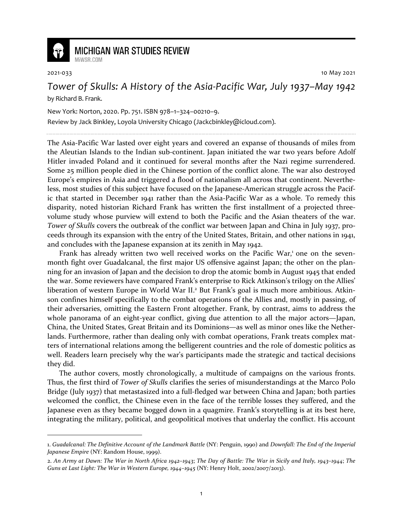

## **MICHIGAN WAR STUDIES REVIEW** MiWSR COM

2021-033 10 May 2021

*Tower of Skulls: A History of the Asia-Pacific War, July 1937–May 1942* by Richard B. Frank.

New York: Norton, 2020. Pp. 751. ISBN 978–1–324–00210–9.

Review by Jack Binkley, Loyola University Chicago (Jackcbinkley@icloud.com).

The Asia-Pacific War lasted over eight years and covered an expanse of thousands of miles from the Aleutian Islands to the Indian sub-continent. Japan initiated the war two years before Adolf Hitler invaded Poland and it continued for several months after the Nazi regime surrendered. Some 25 million people died in the Chinese portion of the conflict alone. The war also destroyed Europe's empires in Asia and triggered a flood of nationalism all across that continent. Nevertheless, most studies of this subject have focused on the Japanese-American struggle across the Pacific that started in December 1941 rather than the Asia-Pacific War as a whole. To remedy this disparity, noted historian Richard Frank has written the first installment of a projected threevolume study whose purview will extend to both the Pacific and the Asian theaters of the war. *Tower of Skulls* covers the outbreak of the conflict war between Japan and China in July 1937, proceeds through its expansion with the entry of the United States, Britain, and other nations in 1941, and concludes with the Japanese expansion at its zenith in May 1942.

Frank has already written two well received works on the Pacific War,<sup>1</sup> one on the sevenmonth fight over Guadalcanal, the first major US offensive against Japan; the other on the planning for an invasion of Japan and the decision to drop the atomic bomb in August 1945 that ended the war. Some reviewers have compared Frank's enterprise to Rick Atkinson's trilogy on the Allies' liberation of western Europe in World War II.<sup>2</sup> But Frank's goal is much more ambitious. Atkinson confines himself specifically to the combat operations of the Allies and, mostly in passing, of their adversaries, omitting the Eastern Front altogether. Frank, by contrast, aims to address the whole panorama of an eight-year conflict, giving due attention to all the major actors—Japan, China, the United States, Great Britain and its Dominions—as well as minor ones like the Netherlands. Furthermore, rather than dealing only with combat operations, Frank treats complex matters of international relations among the belligerent countries and the role of domestic politics as well. Readers learn precisely why the war's participants made the strategic and tactical decisions they did.

The author covers, mostly chronologically, a multitude of campaigns on the various fronts. Thus, the first third of *Tower of Skulls* clarifies the series of misunderstandings at the Marco Polo Bridge (July 1937) that metastasized into a full-fledged war between China and Japan; both parties welcomed the conflict, the Chinese even in the face of the terrible losses they suffered, and the Japanese even as they became bogged down in a quagmire. Frank's storytelling is at its best here, integrating the military, political, and geopolitical motives that underlay the conflict. His account

<sup>1.</sup> *Guadalcanal: The Definitive Account of the Landmark Battle* (NY: Penguin, 1990) and *Downfall: The End of the Imperial Japanese Empire* (NY: Random House, 1999).

<sup>2.</sup> *An Army at Dawn: The War in North Africa 1942–1943*; *The Day of Battle: The War in Sicily and Italy, 1943–1944*; *The Guns at Last Light: The War in Western Europe, 1944–1945* (NY: Henry Holt, 2002/2007/2013).